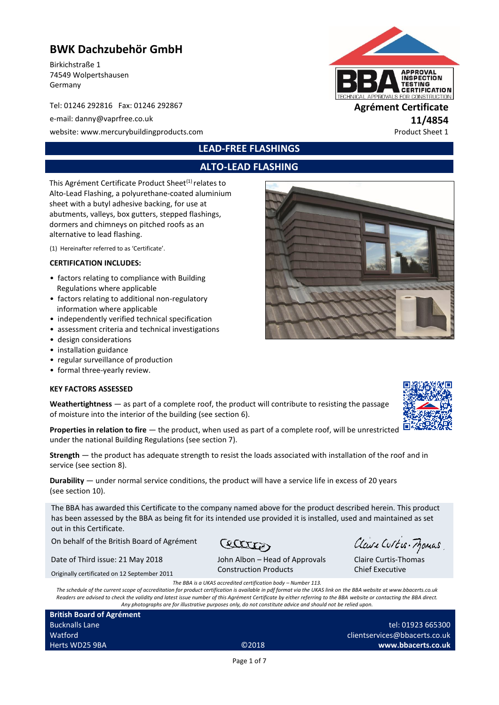# **BWK Dachzubehör GmbH**

Birkichstraße 1 74549 Wolpertshausen Germany

Tel: 01246 292816 Fax: 01246 292867 **Agrément Certificate**

e-mail: danny@vaprfree.co.uk **11/4854**

website: www.mercurybuildingproducts.com example of the example of the example of the Product Sheet 1

# **LEAD-FREE FLASHINGS**

# **ALTO-LEAD FLASHING**

This Agrément Certificate Product Sheet<sup>(1)</sup> relates to Alto-Lead Flashing, a polyurethane-coated aluminium sheet with a butyl adhesive backing, for use at abutments, valleys, box gutters, stepped flashings, dormers and chimneys on pitched roofs as an alternative to lead flashing.

(1) Hereinafter referred to as 'Certificate'.

#### **CERTIFICATION INCLUDES:**

- factors relating to compliance with Building Regulations where applicable
- factors relating to additional non-regulatory information where applicable
- independently verified technical specification
- assessment criteria and technical investigations
- design considerations
- installation guidance
- regular surveillance of production
- formal three-yearly review.

#### **KEY FACTORS ASSESSED**

**Weathertightness** — as part of a complete roof, the product will contribute to resisting the passage of moisture into the interior of the building (see section 6).

**Properties in relation to fire** — the product, when used as part of a complete roof, will be unrestricted under the national Building Regulations (see section 7).

**Strength** — the product has adequate strength to resist the loads associated with installation of the roof and in service (see section 8).

**Durability** — under normal service conditions, the product will have a service life in excess of 20 years (see section 10).

The BBA has awarded this Certificate to the company named above for the product described herein. This product has been assessed by the BBA as being fit for its intended use provided it is installed, used and maintained as set out in this Certificate.

Cecaro

On behalf of the British Board of Agrément

Date of Third issue: 21 May 2018

Originally certificated on 12 September 2011

John Albon – Head of Approvals Construction Products

*The BBA is a UKAS accredited certification body – Number 113. The schedule of the current scope of accreditation for product certification is available in pdf format via the UKAS link on the BBA website at www.bbacerts.co.uk Readers are advised to check the validity and latest issue number of this Agrément Certificate by either referring to the BBA website or contacting the BBA direct. Any photographs are for illustrative purposes only, do not constitute advice and should not be relied upon.*

**British Board of Agrément** Bucknalls Lane Watford **Herts WD25 9BA** ©2018

Page 1 of 7

tel: 01923 665300 clientservices@bbacerts.co.uk **www.bbacerts.co.uk**

Claire Curtis-Thomas Chief Executive

Claire Curtis-Frances





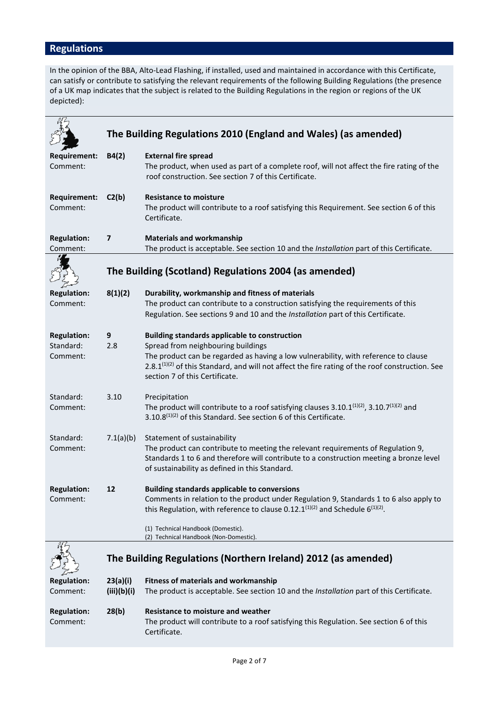# **Regulations**

In the opinion of the BBA, Alto-Lead Flashing, if installed, used and maintained in accordance with this Certificate, can satisfy or contribute to satisfying the relevant requirements of the following Building Regulations (the presence of a UK map indicates that the subject is related to the Building Regulations in the region or regions of the UK depicted):

|                                             |                          | The Building Regulations 2010 (England and Wales) (as amended)                                                                                                                                                                                                                                                                     |
|---------------------------------------------|--------------------------|------------------------------------------------------------------------------------------------------------------------------------------------------------------------------------------------------------------------------------------------------------------------------------------------------------------------------------|
|                                             |                          |                                                                                                                                                                                                                                                                                                                                    |
| <b>Requirement:</b><br>Comment:             | B4(2)                    | <b>External fire spread</b><br>The product, when used as part of a complete roof, will not affect the fire rating of the<br>roof construction. See section 7 of this Certificate.                                                                                                                                                  |
| <b>Requirement:</b><br>Comment:             | C2(b)                    | <b>Resistance to moisture</b><br>The product will contribute to a roof satisfying this Requirement. See section 6 of this<br>Certificate.                                                                                                                                                                                          |
| <b>Regulation:</b><br>Comment:              | $\overline{\phantom{a}}$ | <b>Materials and workmanship</b><br>The product is acceptable. See section 10 and the Installation part of this Certificate.                                                                                                                                                                                                       |
|                                             |                          | The Building (Scotland) Regulations 2004 (as amended)                                                                                                                                                                                                                                                                              |
| <b>Regulation:</b><br>Comment:              | 8(1)(2)                  | Durability, workmanship and fitness of materials<br>The product can contribute to a construction satisfying the requirements of this<br>Regulation. See sections 9 and 10 and the Installation part of this Certificate.                                                                                                           |
| <b>Regulation:</b><br>Standard:<br>Comment: | 9<br>2.8                 | <b>Building standards applicable to construction</b><br>Spread from neighbouring buildings<br>The product can be regarded as having a low vulnerability, with reference to clause<br>2.8.1 <sup>(1)(2)</sup> of this Standard, and will not affect the fire rating of the roof construction. See<br>section 7 of this Certificate. |
| Standard:<br>Comment:                       | 3.10                     | Precipitation<br>The product will contribute to a roof satisfying clauses $3.10.1^{(1)(2)}$ , $3.10.7^{(1)(2)}$ and<br>3.10.8 <sup>(1)(2)</sup> of this Standard. See section 6 of this Certificate.                                                                                                                               |
| Standard:<br>Comment:                       | 7.1(a)(b)                | Statement of sustainability<br>The product can contribute to meeting the relevant requirements of Regulation 9,<br>Standards 1 to 6 and therefore will contribute to a construction meeting a bronze level<br>of sustainability as defined in this Standard.                                                                       |
| <b>Regulation:</b><br>Comment:              | 12                       | <b>Building standards applicable to conversions</b><br>Comments in relation to the product under Regulation 9, Standards 1 to 6 also apply to<br>this Regulation, with reference to clause 0.12.1 $(1)(2)$ and Schedule 6 $(1)(2)$ .                                                                                               |
|                                             |                          | (1) Technical Handbook (Domestic).<br>(2) Technical Handbook (Non-Domestic).                                                                                                                                                                                                                                                       |
|                                             |                          | The Building Regulations (Northern Ireland) 2012 (as amended)                                                                                                                                                                                                                                                                      |
| <b>Regulation:</b><br>Comment:              | 23(a)(i)<br>(iii)(b)(i)  | <b>Fitness of materials and workmanship</b><br>The product is acceptable. See section 10 and the Installation part of this Certificate.                                                                                                                                                                                            |
| <b>Regulation:</b><br>Comment:              | 28(b)                    | <b>Resistance to moisture and weather</b><br>The product will contribute to a roof satisfying this Regulation. See section 6 of this<br>Certificate.                                                                                                                                                                               |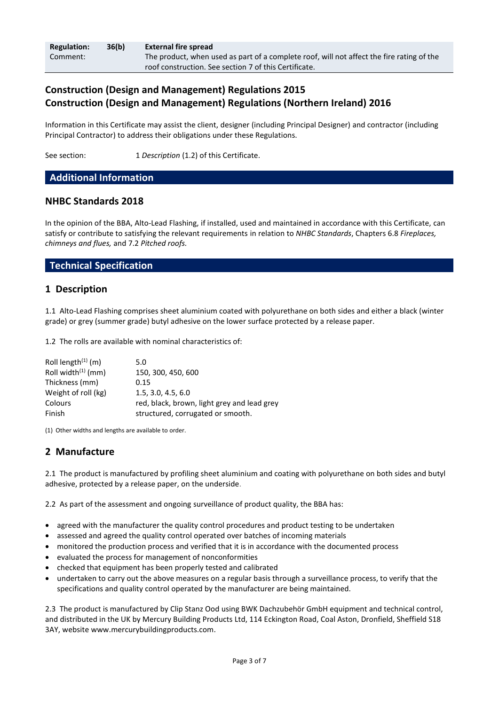| <b>Regulation:</b> | 36(b) | <b>External fire spread</b>                                                               |
|--------------------|-------|-------------------------------------------------------------------------------------------|
| Comment:           |       | The product, when used as part of a complete roof, will not affect the fire rating of the |
|                    |       | roof construction. See section 7 of this Certificate.                                     |

# **Construction (Design and Management) Regulations 2015 Construction (Design and Management) Regulations (Northern Ireland) 2016**

Information in this Certificate may assist the client, designer (including Principal Designer) and contractor (including Principal Contractor) to address their obligations under these Regulations.

See section: 1 *Description* (1.2) of this Certificate.

### **Additional Information**

### **NHBC Standards 2018**

In the opinion of the BBA, Alto-Lead Flashing, if installed, used and maintained in accordance with this Certificate, can satisfy or contribute to satisfying the relevant requirements in relation to *NHBC Standards*, Chapters 6.8 *Fireplaces, chimneys and flues,* and 7.2 *Pitched roofs.*

### **Technical Specification**

### **1 Description**

1.1 Alto-Lead Flashing comprises sheet aluminium coated with polyurethane on both sides and either a black (winter grade) or grey (summer grade) butyl adhesive on the lower surface protected by a release paper.

1.2 The rolls are available with nominal characteristics of:

| Roll length $(1)$ (m) | 5.0                                         |
|-----------------------|---------------------------------------------|
| Roll width $(1)$ (mm) | 150, 300, 450, 600                          |
| Thickness (mm)        | 0.15                                        |
| Weight of roll (kg)   | 1.5.3.0.4.5.6.0                             |
| Colours               | red, black, brown, light grey and lead grey |
| Finish                | structured, corrugated or smooth.           |

(1) Other widths and lengths are available to order.

# **2 Manufacture**

2.1 The product is manufactured by profiling sheet aluminium and coating with polyurethane on both sides and butyl adhesive, protected by a release paper, on the underside.

2.2 As part of the assessment and ongoing surveillance of product quality, the BBA has:

- agreed with the manufacturer the quality control procedures and product testing to be undertaken
- assessed and agreed the quality control operated over batches of incoming materials
- monitored the production process and verified that it is in accordance with the documented process
- evaluated the process for management of nonconformities
- checked that equipment has been properly tested and calibrated
- undertaken to carry out the above measures on a regular basis through a surveillance process, to verify that the specifications and quality control operated by the manufacturer are being maintained.

2.3 The product is manufactured by Clip Stanz Ood using BWK Dachzubehör GmbH equipment and technical control, and distributed in the UK by Mercury Building Products Ltd, 114 Eckington Road, Coal Aston, Dronfield, Sheffield S18 3AY, websit[e www.mercurybuildingproducts.com.](http://www.mercurybuildingproducts.com/)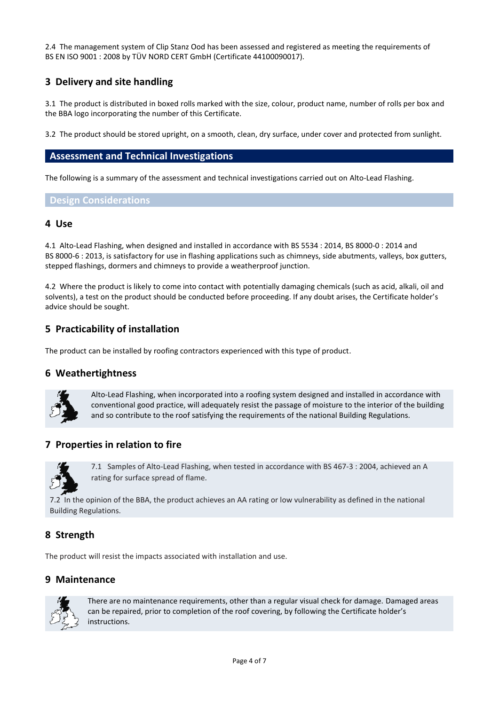2.4 The management system of Clip Stanz Ood has been assessed and registered as meeting the requirements of BS EN ISO 9001 : 2008 by TÜV NORD CERT GmbH (Certificate 44100090017).

# **3 Delivery and site handling**

3.1 The product is distributed in boxed rolls marked with the size, colour, product name, number of rolls per box and the BBA logo incorporating the number of this Certificate.

3.2 The product should be stored upright, on a smooth, clean, dry surface, under cover and protected from sunlight.

#### **Assessment and Technical Investigations**

The following is a summary of the assessment and technical investigations carried out on Alto-Lead Flashing.

#### **Design Considerations**

#### **4 Use**

4.1 Alto-Lead Flashing, when designed and installed in accordance with BS 5534 : 2014, BS 8000-0 : 2014 and BS 8000-6 : 2013, is satisfactory for use in flashing applications such as chimneys, side abutments, valleys, box gutters, stepped flashings, dormers and chimneys to provide a weatherproof junction.

4.2 Where the product is likely to come into contact with potentially damaging chemicals (such as acid, alkali, oil and solvents), a test on the product should be conducted before proceeding. If any doubt arises, the Certificate holder's advice should be sought.

### **5 Practicability of installation**

The product can be installed by roofing contractors experienced with this type of product.

#### **6 Weathertightness**



Alto-Lead Flashing, when incorporated into a roofing system designed and installed in accordance with conventional good practice, will adequately resist the passage of moisture to the interior of the building and so contribute to the roof satisfying the requirements of the national Building Regulations.

### **7 Properties in relation to fire**



7.1 Samples of Alto-Lead Flashing, when tested in accordance with BS 467-3 : 2004, achieved an A rating for surface spread of flame.

7.2 In the opinion of the BBA, the product achieves an AA rating or low vulnerability as defined in the national Building Regulations.

### **8 Strength**

The product will resist the impacts associated with installation and use.

### **9 Maintenance**



There are no maintenance requirements, other than a regular visual check for damage. Damaged areas can be repaired, prior to completion of the roof covering, by following the Certificate holder's instructions.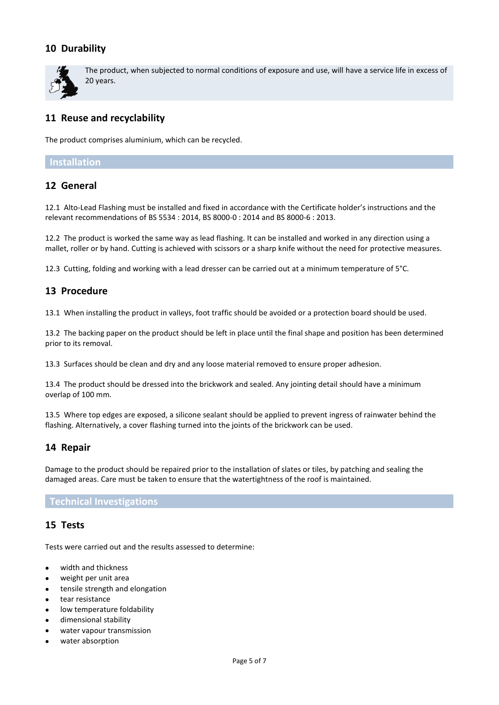# **10 Durability**



The product, when subjected to normal conditions of exposure and use, will have a service life in excess of 20 years.

# **11 Reuse and recyclability**

The product comprises aluminium, which can be recycled.

#### **Installation**

# **12 General**

12.1 Alto-Lead Flashing must be installed and fixed in accordance with the Certificate holder's instructions and the relevant recommendations of BS 5534 : 2014, BS 8000-0 : 2014 and BS 8000-6 : 2013.

12.2 The product is worked the same way as lead flashing. It can be installed and worked in any direction using a mallet, roller or by hand. Cutting is achieved with scissors or a sharp knife without the need for protective measures.

12.3 Cutting, folding and working with a lead dresser can be carried out at a minimum temperature of 5°C.

## **13 Procedure**

13.1 When installing the product in valleys, foot traffic should be avoided or a protection board should be used.

13.2 The backing paper on the product should be left in place until the final shape and position has been determined prior to its removal.

13.3 Surfaces should be clean and dry and any loose material removed to ensure proper adhesion.

13.4 The product should be dressed into the brickwork and sealed. Any jointing detail should have a minimum overlap of 100 mm.

13.5 Where top edges are exposed, a silicone sealant should be applied to prevent ingress of rainwater behind the flashing. Alternatively, a cover flashing turned into the joints of the brickwork can be used.

### **14 Repair**

Damage to the product should be repaired prior to the installation of slates or tiles, by patching and sealing the damaged areas. Care must be taken to ensure that the watertightness of the roof is maintained.

#### **Technical Investigations**

#### **15 Tests**

Tests were carried out and the results assessed to determine:

- width and thickness
- weight per unit area
- tensile strength and elongation
- tear resistance
- low temperature foldability
- dimensional stability
- water vapour transmission
- water absorption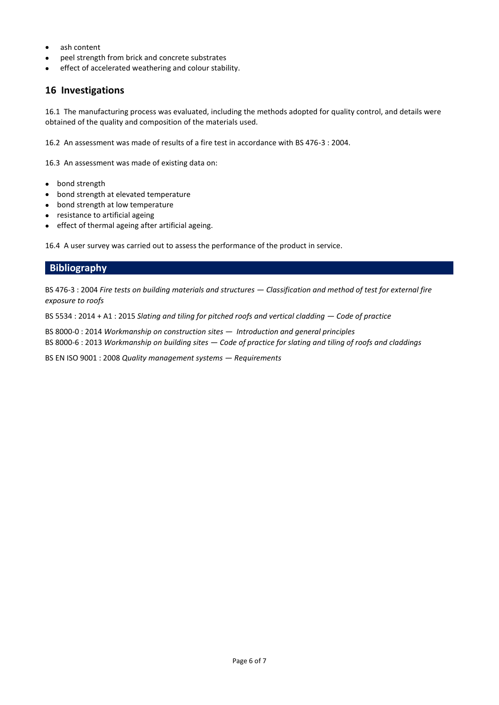- ash content
- peel strength from brick and concrete substrates
- effect of accelerated weathering and colour stability.

### **16 Investigations**

16.1 The manufacturing process was evaluated, including the methods adopted for quality control, and details were obtained of the quality and composition of the materials used.

16.2 An assessment was made of results of a fire test in accordance with BS 476-3 : 2004.

16.3 An assessment was made of existing data on:

- bond strength
- bond strength at elevated temperature
- bond strength at low temperature
- resistance to artificial ageing
- effect of thermal ageing after artificial ageing.

16.4 A user survey was carried out to assess the performance of the product in service.

# **Bibliography**

BS 476-3 : 2004 *Fire tests on building materials and structures — Classification and method of test for external fire exposure to roofs* 

BS 5534 : 2014 + A1 : 2015 *Slating and tiling for pitched roofs and vertical cladding — Code of practice*

BS 8000-0 : 2014 *Workmanship on construction sites — Introduction and general principles* BS 8000-6 : 2013 *Workmanship on building sites — Code of practice for slating and tiling of roofs and claddings* 

BS EN ISO 9001 : 2008 *Quality management systems — Requirements*